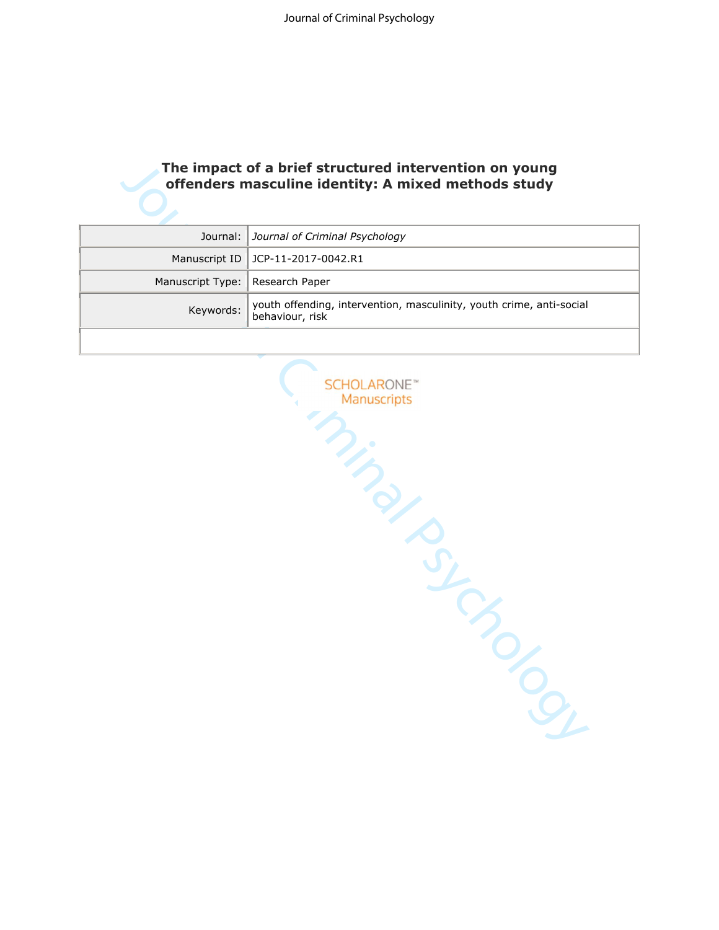## **The impact of a brief structured intervention on young offenders masculine identity: A mixed methods study**

|                                   | Journal: Journal of Criminal Psychology                                                 |
|-----------------------------------|-----------------------------------------------------------------------------------------|
|                                   | Manuscript ID   JCP-11-2017-0042.R1                                                     |
| Manuscript Type:   Research Paper |                                                                                         |
| Keywords:                         | youth offending, intervention, masculinity, youth crime, anti-social<br>behaviour, risk |
|                                   |                                                                                         |

SCHOLARONE"<br>Manuscripts<br>Min<br>Criminal Property Criminal Property Criminal Property Criminal Property Criminal Property Criminal Property Criminal Property Criminal Property Criminal Property Criminal Property Criminal Prope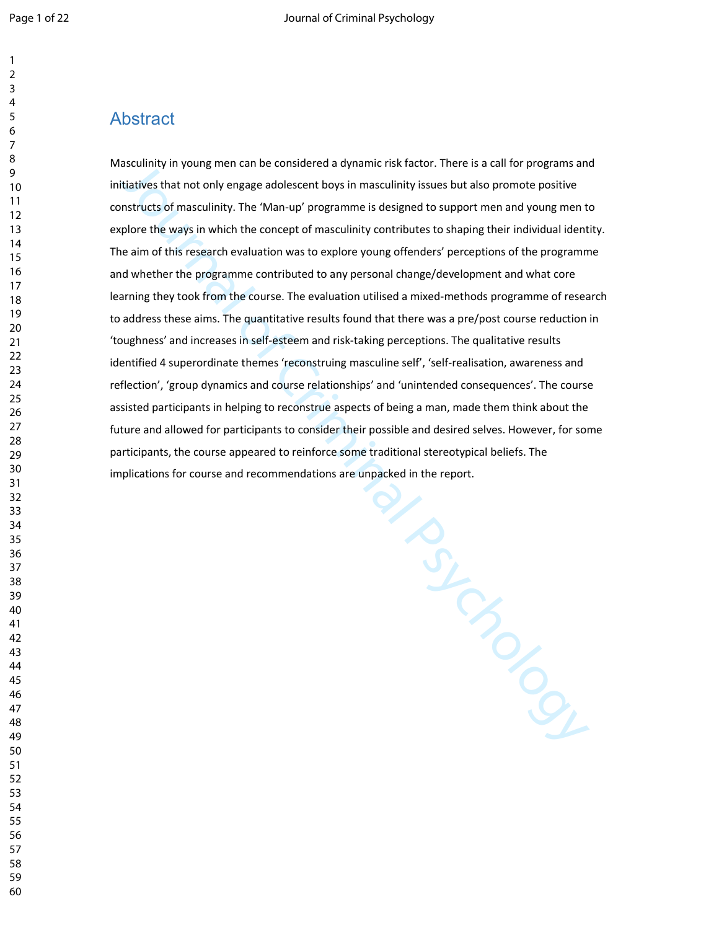# Abstract

Masculinity in young men can be considered a dynamic risk factor. There is a call for programs and initiatives that not only engage adolescent boys in masculinity issues but also promote positive constructs of masculinity. The 'Man-up' programme is designed to support men and young men to explore the ways in which the concept of masculinity contributes to shaping their individual identity. The aim of this research evaluation was to explore young offenders' perceptions of the programme and whether the programme contributed to any personal change/development and what core learning they took from the course. The evaluation utilised a mixed-methods programme of research to address these aims. The quantitative results found that there was a pre/post course reduction in 'toughness' and increases in self-esteem and risk-taking perceptions. The qualitative results identified 4 superordinate themes 'reconstruing masculine self', 'self-realisation, awareness and reflection', 'group dynamics and course relationships' and 'unintended consequences'. The course assisted participants in helping to reconstrue aspects of being a man, made them think about the future and allowed for participants to consider their possible and desired selves. However, for some participants, the course appeared to reinforce some traditional stereotypical beliefs. The implications for course and recommendations are unpacked in the report.

PASSED CRIMINAL CRIMINAL CRIMINAL CRIMINAL CRIMINAL CRIMINAL CRIMINAL CRIMINAL CRIMINAL CRIMINAL CRIMINAL CRIM<br>CRIMINAL CRIMINAL CRIMINAL CRIMINAL CRIMINAL CRIMINAL CRIMINAL CRIMINAL CRIMINAL CRIMINAL CRIMINAL CRIMINAL CR<br>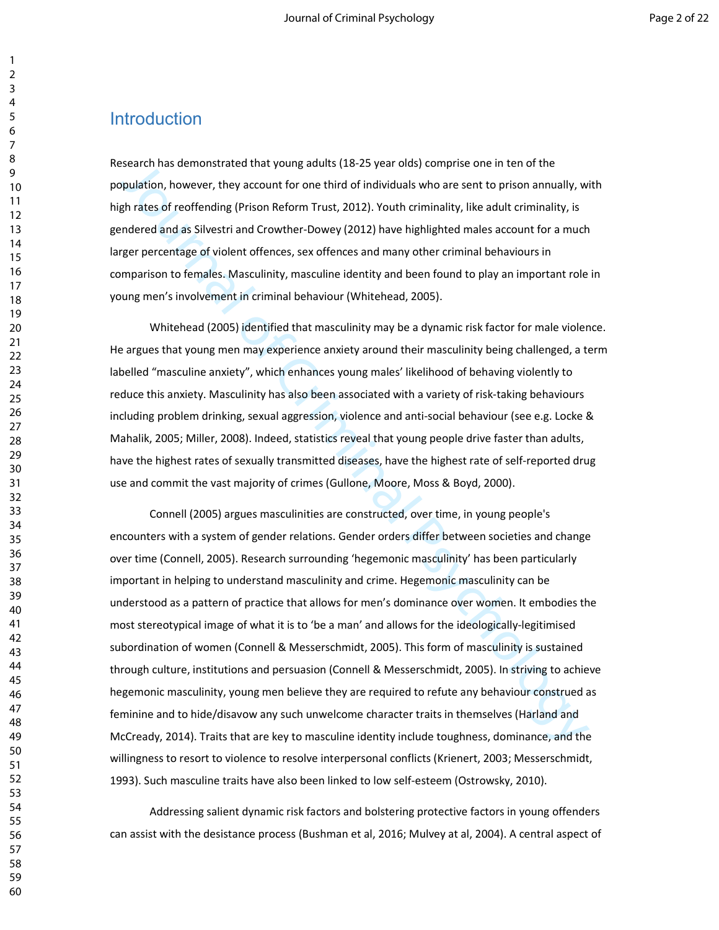# Introduction

Research has demonstrated that young adults (18-25 year olds) comprise one in ten of the population, however, they account for one third of individuals who are sent to prison annually, with high rates of reoffending (Prison Reform Trust, 2012). Youth criminality, like adult criminality, is gendered and as Silvestri and Crowther-Dowey (2012) have highlighted males account for a much larger percentage of violent offences, sex offences and many other criminal behaviours in comparison to females. Masculinity, masculine identity and been found to play an important role in young men's involvement in criminal behaviour (Whitehead, 2005).

Whitehead (2005) identified that masculinity may be a dynamic risk factor for male violence. He argues that young men may experience anxiety around their masculinity being challenged, a term labelled "masculine anxiety", which enhances young males' likelihood of behaving violently to reduce this anxiety. Masculinity has also been associated with a variety of risk-taking behaviours including problem drinking, sexual aggression, violence and anti-social behaviour (see e.g. Locke & Mahalik, 2005; Miller, 2008). Indeed, statistics reveal that young people drive faster than adults, have the highest rates of sexually transmitted diseases, have the highest rate of self-reported drug use and commit the vast majority of crimes (Gullone, Moore, Moss & Boyd, 2000).

search has demonstrated that young adults (18-25 year olds) comprise one in ten of the<br>publation, however, they account for one third of individuals who are sent to prison annually, wis<br>ph raies of reoffending (Prison Refo Connell (2005) argues masculinities are constructed, over time, in young people's encounters with a system of gender relations. Gender orders differ between societies and change over time (Connell, 2005). Research surrounding 'hegemonic masculinity' has been particularly important in helping to understand masculinity and crime. Hegemonic masculinity can be understood as a pattern of practice that allows for men's dominance over women. It embodies the most stereotypical image of what it is to 'be a man' and allows for the ideologically-legitimised subordination of women (Connell & Messerschmidt, 2005). This form of masculinity is sustained through culture, institutions and persuasion (Connell & Messerschmidt, 2005). In striving to achieve hegemonic masculinity, young men believe they are required to refute any behaviour construed as feminine and to hide/disavow any such unwelcome character traits in themselves (Harland and McCready, 2014). Traits that are key to masculine identity include toughness, dominance, and the willingness to resort to violence to resolve interpersonal conflicts (Krienert, 2003; Messerschmidt, 1993). Such masculine traits have also been linked to low self-esteem (Ostrowsky, 2010).

Addressing salient dynamic risk factors and bolstering protective factors in young offenders can assist with the desistance process (Bushman et al, 2016; Mulvey at al, 2004). A central aspect of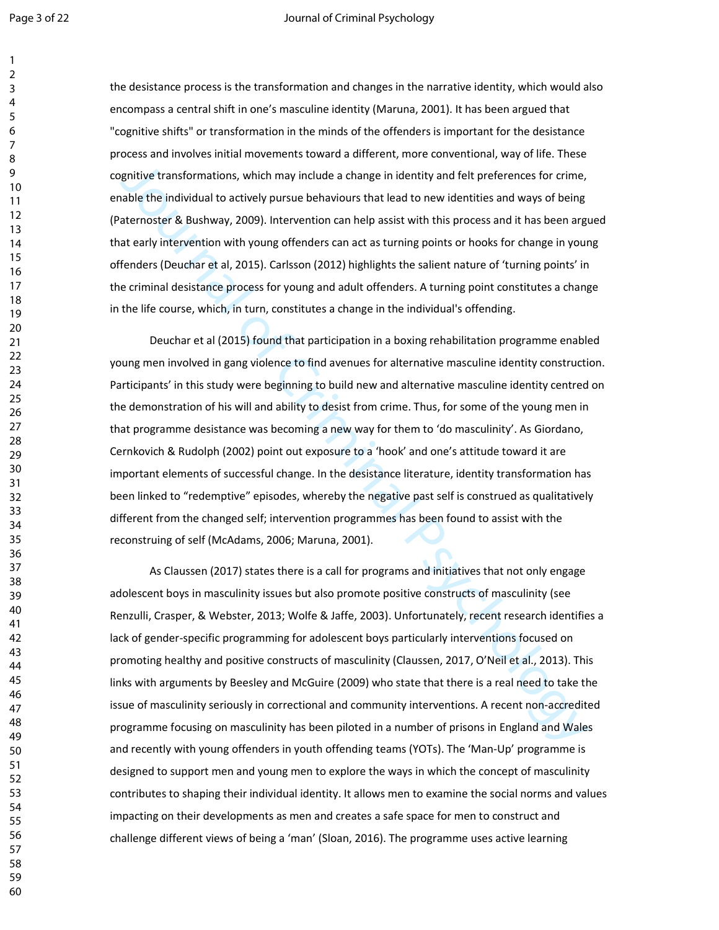#### Page 3 of 22 **Page 3 of 22** Journal of Criminal Psychology

the desistance process is the transformation and changes in the narrative identity, which would also encompass a central shift in one's masculine identity (Maruna, 2001). It has been argued that "cognitive shifts" or transformation in the minds of the offenders is important for the desistance process and involves initial movements toward a different, more conventional, way of life. These cognitive transformations, which may include a change in identity and felt preferences for crime, enable the individual to actively pursue behaviours that lead to new identities and ways of being (Paternoster & Bushway, 2009). Intervention can help assist with this process and it has been argued that early intervention with young offenders can act as turning points or hooks for change in young offenders (Deuchar et al, 2015). Carlsson (2012) highlights the salient nature of 'turning points' in the criminal desistance process for young and adult offenders. A turning point constitutes a change in the life course, which, in turn, constitutes a change in the individual's offending.

ignitive transformations, which may include a change in identity and felt preferences for crime,<br>able the individual to actively pursue behaviours that lead to new identities and ways of being<br>aternoster & Bushway, 2009). Deuchar et al (2015) found that participation in a boxing rehabilitation programme enabled young men involved in gang violence to find avenues for alternative masculine identity construction. Participants' in this study were beginning to build new and alternative masculine identity centred on the demonstration of his will and ability to desist from crime. Thus, for some of the young men in that programme desistance was becoming a new way for them to 'do masculinity'. As Giordano, Cernkovich & Rudolph (2002) point out exposure to a 'hook' and one's attitude toward it are important elements of successful change. In the desistance literature, identity transformation has been linked to "redemptive" episodes, whereby the negative past self is construed as qualitatively different from the changed self; intervention programmes has been found to assist with the reconstruing of self (McAdams, 2006; Maruna, 2001).

As Claussen (2017) states there is a call for programs and initiatives that not only engage adolescent boys in masculinity issues but also promote positive constructs of masculinity (see Renzulli, Crasper, & Webster, 2013; Wolfe & Jaffe, 2003). Unfortunately, recent research identifies a lack of gender-specific programming for adolescent boys particularly interventions focused on promoting healthy and positive constructs of masculinity (Claussen, 2017, O'Neil et al., 2013). This links with arguments by Beesley and McGuire (2009) who state that there is a real need to take the issue of masculinity seriously in correctional and community interventions. A recent non-accredited programme focusing on masculinity has been piloted in a number of prisons in England and Wales and recently with young offenders in youth offending teams (YOTs). The 'Man-Up' programme is designed to support men and young men to explore the ways in which the concept of masculinity contributes to shaping their individual identity. It allows men to examine the social norms and values impacting on their developments as men and creates a safe space for men to construct and challenge different views of being a 'man' (Sloan, 2016). The programme uses active learning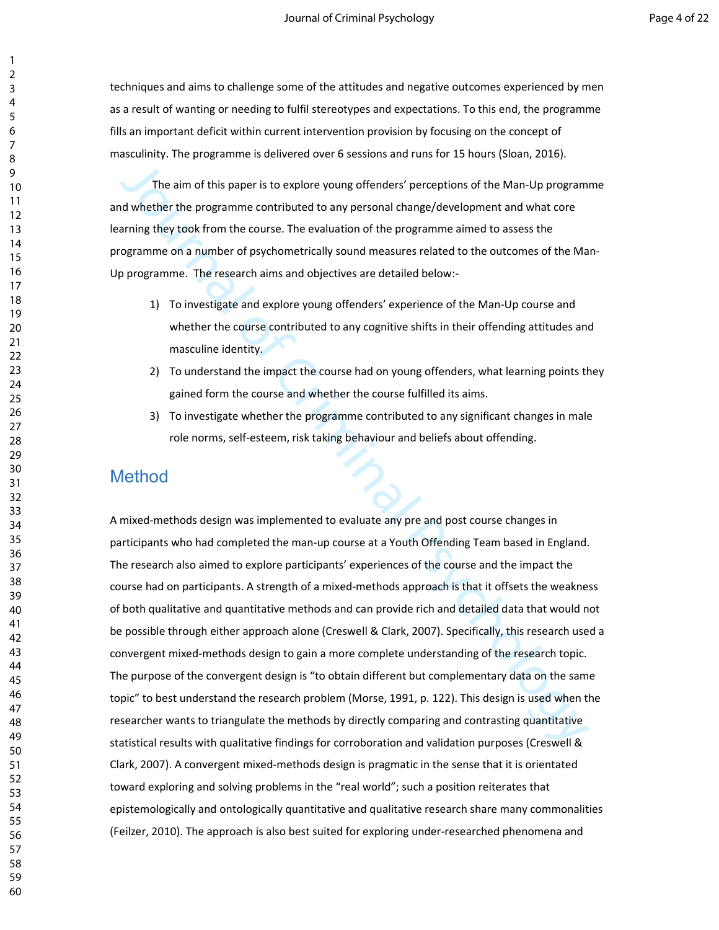techniques and aims to challenge some of the attitudes and negative outcomes experienced by men as a result of wanting or needing to fulfil stereotypes and expectations. To this end, the programme fills an important deficit within current intervention provision by focusing on the concept of masculinity. The programme is delivered over 6 sessions and runs for 15 hours (Sloan, 2016).

 The aim of this paper is to explore young offenders' perceptions of the Man-Up programme and whether the programme contributed to any personal change/development and what core learning they took from the course. The evaluation of the programme aimed to assess the programme on a number of psychometrically sound measures related to the outcomes of the Man-Up programme. The research aims and objectives are detailed below:-

- 1) To investigate and explore young offenders' experience of the Man-Up course and whether the course contributed to any cognitive shifts in their offending attitudes and masculine identity.
- 2) To understand the impact the course had on young offenders, what learning points they gained form the course and whether the course fulfilled its aims.
- 3) To investigate whether the programme contributed to any significant changes in male role norms, self-esteem, risk taking behaviour and beliefs about offending.

# Method

The aim of this paper is to explore young offenders' perceptions of the Man-Up program<br>
Mether the programme contributed to any personal change/development and what core<br>
aning they took from the course. The evaluation of A mixed-methods design was implemented to evaluate any pre and post course changes in participants who had completed the man-up course at a Youth Offending Team based in England. The research also aimed to explore participants' experiences of the course and the impact the course had on participants. A strength of a mixed-methods approach is that it offsets the weakness of both qualitative and quantitative methods and can provide rich and detailed data that would not be possible through either approach alone (Creswell & Clark, 2007). Specifically, this research used a convergent mixed-methods design to gain a more complete understanding of the research topic. The purpose of the convergent design is "to obtain different but complementary data on the same topic" to best understand the research problem (Morse, 1991, p. 122). This design is used when the researcher wants to triangulate the methods by directly comparing and contrasting quantitative statistical results with qualitative findings for corroboration and validation purposes (Creswell & Clark, 2007). A convergent mixed-methods design is pragmatic in the sense that it is orientated toward exploring and solving problems in the "real world"; such a position reiterates that epistemologically and ontologically quantitative and qualitative research share many commonalities (Feilzer, 2010). The approach is also best suited for exploring under-researched phenomena and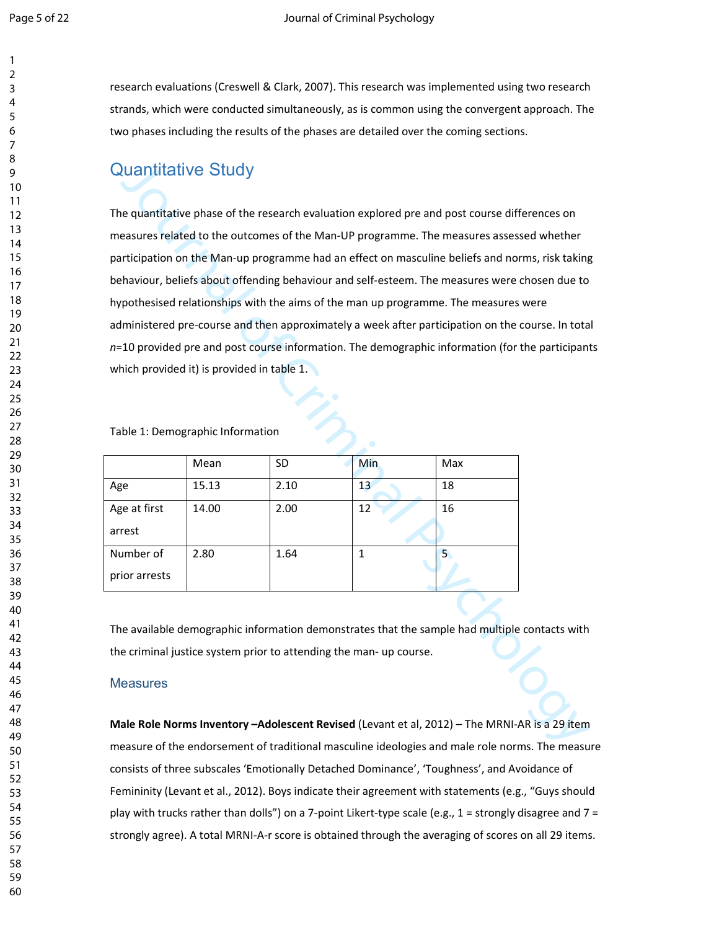research evaluations (Creswell & Clark, 2007). This research was implemented using two research strands, which were conducted simultaneously, as is common using the convergent approach. The two phases including the results of the phases are detailed over the coming sections.

# Quantitative Study

Utantiticative Study<br>
expansive phase of the research evaluation explored pre and post course differences on<br>
essures related to the outcomes of the Man-UP programme. The measures assessed whether<br>
intrinsipation on the Ma The quantitative phase of the research evaluation explored pre and post course differences on measures related to the outcomes of the Man-UP programme. The measures assessed whether participation on the Man-up programme had an effect on masculine beliefs and norms, risk taking behaviour, beliefs about offending behaviour and self-esteem. The measures were chosen due to hypothesised relationships with the aims of the man up programme. The measures were administered pre-course and then approximately a week after participation on the course. In total *n*=10 provided pre and post course information. The demographic information (for the participants which provided it) is provided in table 1.

Table 1: Demographic Information

|               | Mean  | <b>SD</b> | Min | Max |
|---------------|-------|-----------|-----|-----|
| Age           | 15.13 | 2.10      | 13  | 18  |
| Age at first  | 14.00 | 2.00      | 12  | 16  |
| arrest        |       |           |     |     |
| Number of     | 2.80  | 1.64      | 1   | 5   |
| prior arrests |       |           |     |     |

The available demographic information demonstrates that the sample had multiple contacts with the criminal justice system prior to attending the man- up course.

#### **Measures**

**Male Role Norms Inventory –Adolescent Revised** (Levant et al, 2012) – The MRNI-AR is a 29 item measure of the endorsement of traditional masculine ideologies and male role norms. The measure consists of three subscales 'Emotionally Detached Dominance', 'Toughness', and Avoidance of Femininity (Levant et al., 2012). Boys indicate their agreement with statements (e.g., "Guys should play with trucks rather than dolls") on a 7-point Likert-type scale (e.g.,  $1 =$  strongly disagree and  $7 =$ strongly agree). A total MRNI-A-r score is obtained through the averaging of scores on all 29 items.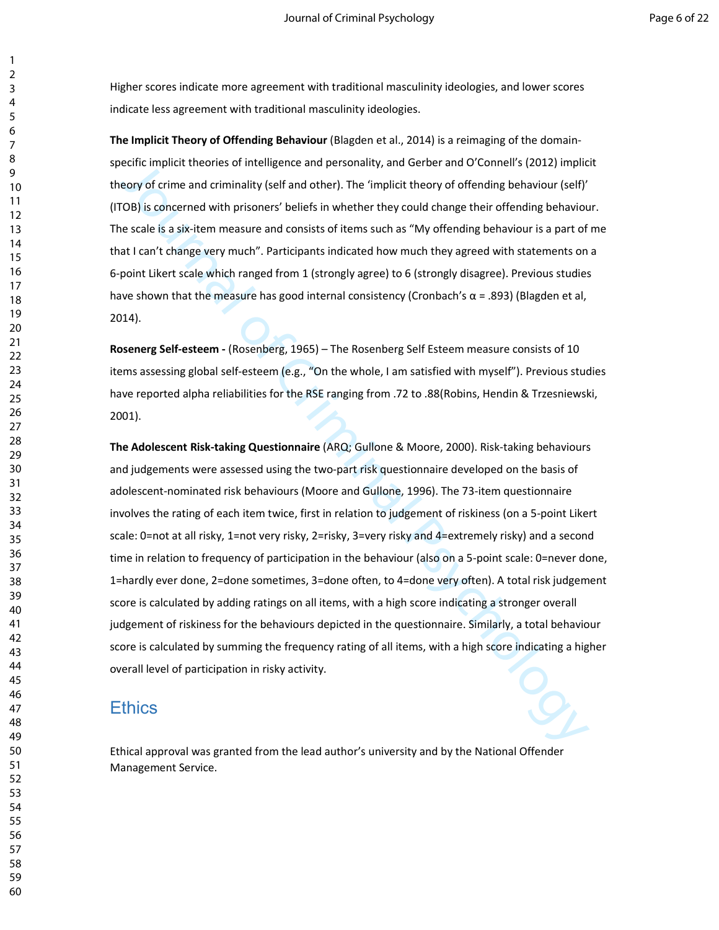Higher scores indicate more agreement with traditional masculinity ideologies, and lower scores indicate less agreement with traditional masculinity ideologies.

**The Implicit Theory of Offending Behaviour** (Blagden et al., 2014) is a reimaging of the domainspecific implicit theories of intelligence and personality, and Gerber and O'Connell's (2012) implicit theory of crime and criminality (self and other). The 'implicit theory of offending behaviour (self)' (ITOB) is concerned with prisoners' beliefs in whether they could change their offending behaviour. The scale is a six-item measure and consists of items such as "My offending behaviour is a part of me that I can't change very much". Participants indicated how much they agreed with statements on a 6-point Likert scale which ranged from 1 (strongly agree) to 6 (strongly disagree). Previous studies have shown that the measure has good internal consistency (Cronbach's  $\alpha$  = .893) (Blagden et al, 2014).

**Rosenerg Self-esteem -** (Rosenberg, 1965) – The Rosenberg Self Esteem measure consists of 10 items assessing global self-esteem (e.g., "On the whole, I am satisfied with myself"). Previous studies have reported alpha reliabilities for the RSE ranging from .72 to .88(Robins, Hendin & Trzesniewski, 2001).

ectic implied theories of intelligence and personality, and Gerber and O'Connell's (2012) implied<br>eacy of crime and oriminality (self and other). The 'mplied theory of offending behaviour (self)<br>CDBJ is concerned with pris **The Adolescent Risk-taking Questionnaire** (ARQ; Gullone & Moore, 2000). Risk-taking behaviours and judgements were assessed using the two-part risk questionnaire developed on the basis of adolescent-nominated risk behaviours (Moore and Gullone, 1996). The 73-item questionnaire involves the rating of each item twice, first in relation to judgement of riskiness (on a 5-point Likert scale: 0=not at all risky, 1=not very risky, 2=risky, 3=very risky and 4=extremely risky) and a second time in relation to frequency of participation in the behaviour (also on a 5-point scale: 0=never done, 1=hardly ever done, 2=done sometimes, 3=done often, to 4=done very often). A total risk judgement score is calculated by adding ratings on all items, with a high score indicating a stronger overall judgement of riskiness for the behaviours depicted in the questionnaire. Similarly, a total behaviour score is calculated by summing the frequency rating of all items, with a high score indicating a higher overall level of participation in risky activity.

## **Ethics**

Ethical approval was granted from the lead author's university and by the National Offender Management Service.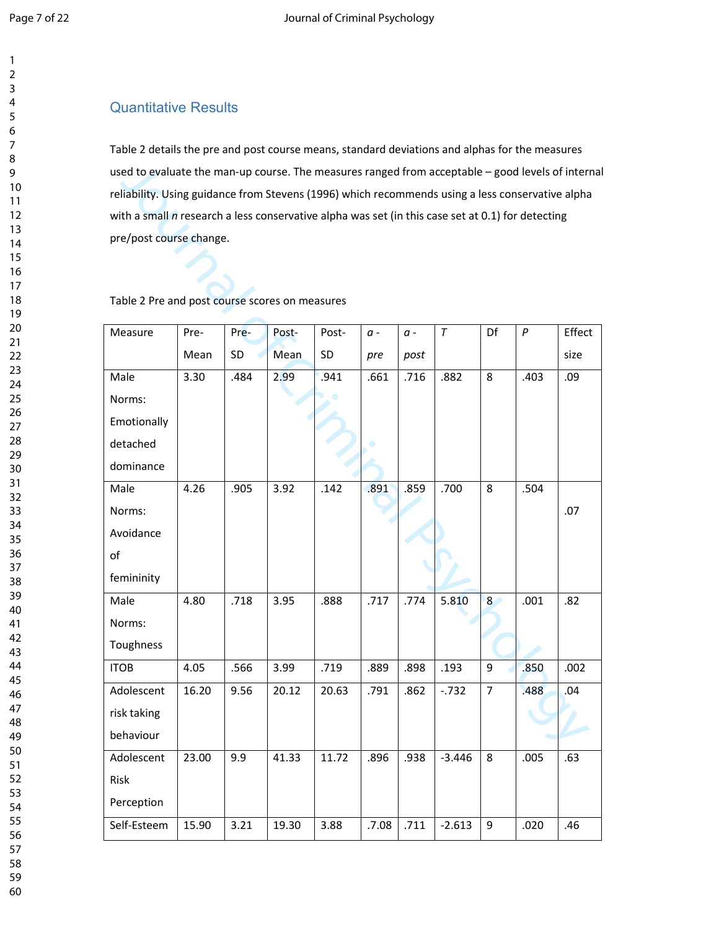## Quantitative Results

Table 2 details the pre and post course means, standard deviations and alphas for the measures used to evaluate the man-up course. The measures ranged from acceptable – good levels of internal reliability. Using guidance from Stevens (1996) which recommends using a less conservative alpha with a small *n* research a less conservative alpha was set (in this case set at 0.1) for detecting pre/post course change.

#### Table 2 Pre and post course scores on measures

| used to evaluate the man-up course. The measures ranged from acceptable - good levels of internal   |       |      |       |       |                    |       |          |    |                  |        |
|-----------------------------------------------------------------------------------------------------|-------|------|-------|-------|--------------------|-------|----------|----|------------------|--------|
| reliability. Using guidance from Stevens (1996) which recommends using a less conservative alpha    |       |      |       |       |                    |       |          |    |                  |        |
| with a small $n$ research a less conservative alpha was set (in this case set at 0.1) for detecting |       |      |       |       |                    |       |          |    |                  |        |
| pre/post course change.                                                                             |       |      |       |       |                    |       |          |    |                  |        |
|                                                                                                     |       |      |       |       |                    |       |          |    |                  |        |
|                                                                                                     |       |      |       |       |                    |       |          |    |                  |        |
| Table 2 Pre and post course scores on measures                                                      |       |      |       |       |                    |       |          |    |                  |        |
| Measure                                                                                             | Pre-  | Pre- | Post- | Post- | $\boldsymbol{a}$ - | $a -$ | $\tau$   | Df | $\boldsymbol{P}$ | Effect |
|                                                                                                     | Mean  | SD   | Mean  | SD    | pre                | post  |          |    |                  | size   |
| Male                                                                                                | 3.30  | .484 | 2.99  | .941  | .661               | .716  | .882     | 8  | .403             | .09    |
| Norms:                                                                                              |       |      |       |       |                    |       |          |    |                  |        |
| Emotionally                                                                                         |       |      |       |       |                    |       |          |    |                  |        |
| detached                                                                                            |       |      |       |       |                    |       |          |    |                  |        |
| dominance                                                                                           |       |      |       |       |                    |       |          |    |                  |        |
| Male                                                                                                | 4.26  | .905 | 3.92  | .142  | .891               | .859  | .700     | 8  | .504             |        |
| Norms:                                                                                              |       |      |       |       |                    |       |          |    |                  | .07    |
| Avoidance                                                                                           |       |      |       |       |                    |       |          |    |                  |        |
| of                                                                                                  |       |      |       |       |                    |       |          |    |                  |        |
| femininity                                                                                          |       |      |       |       |                    |       |          |    |                  |        |
| Male                                                                                                | 4.80  | .718 | 3.95  | .888  | .717               | .774  | 5.810    | 8  | .001             | .82    |
| Norms:                                                                                              |       |      |       |       |                    |       |          |    |                  |        |
| Toughness                                                                                           |       |      |       |       |                    |       |          |    |                  |        |
| <b>ITOB</b>                                                                                         | 4.05  | .566 | 3.99  | .719  | .889               | .898  | .193     | 9  | .850             | .002   |
| Adolescent                                                                                          | 16.20 | 9.56 | 20.12 | 20.63 | .791               | .862  | $-732$   | 7  | .488             | .04    |
| risk taking                                                                                         |       |      |       |       |                    |       |          |    |                  |        |
| behaviour                                                                                           |       |      |       |       |                    |       |          |    |                  |        |
| Adolescent                                                                                          | 23.00 | 9.9  | 41.33 | 11.72 | .896               | .938  | $-3.446$ | 8  | .005             | .63    |
| Risk                                                                                                |       |      |       |       |                    |       |          |    |                  |        |
| Perception                                                                                          |       |      |       |       |                    |       |          |    |                  |        |
| Self-Esteem                                                                                         | 15.90 | 3.21 | 19.30 | 3.88  | .7.08              | .711  | $-2.613$ | 9  | .020             | .46    |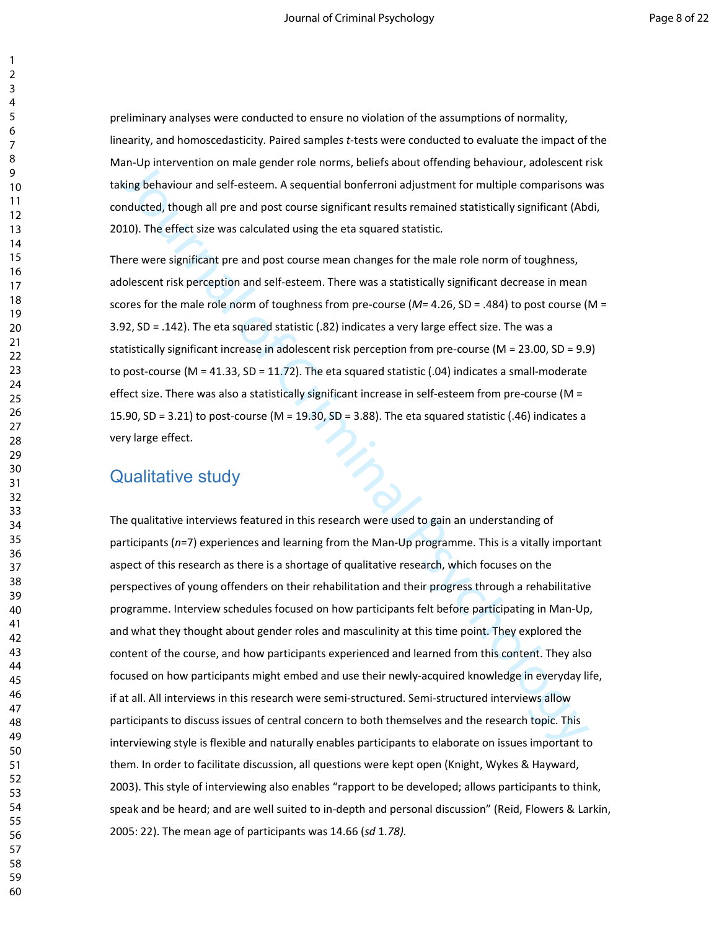preliminary analyses were conducted to ensure no violation of the assumptions of normality, linearity, and homoscedasticity. Paired samples *t*-tests were conducted to evaluate the impact of the Man-Up intervention on male gender role norms, beliefs about offending behaviour, adolescent risk taking behaviour and self-esteem. A sequential bonferroni adjustment for multiple comparisons was conducted, though all pre and post course significant results remained statistically significant (Abdi, 2010). The effect size was calculated using the eta squared statistic.

There were significant pre and post course mean changes for the male role norm of toughness, adolescent risk perception and self-esteem. There was a statistically significant decrease in mean scores for the male role norm of toughness from pre-course (*M*= 4.26, SD = .484) to post course (M = 3.92, SD = .142). The eta squared statistic (.82) indicates a very large effect size. The was a statistically significant increase in adolescent risk perception from pre-course (M = 23.00, SD = 9.9) to post-course (M = 41.33, SD = 11.72). The eta squared statistic (.04) indicates a small-moderate effect size. There was also a statistically significant increase in self-esteem from pre-course (M = 15.90, SD = 3.21) to post-course (M = 19.30, SD = 3.88). The eta squared statistic (.46) indicates a very large effect.

# Qualitative study

an-Up intervention on male gender role norms, beliefs about oftending behaviour, addescent random and self-esteam. A sequential bonferronial algustment for multiple comparisons wind and fields team. Asseminal to inducted, The qualitative interviews featured in this research were used to gain an understanding of participants (*n*=7) experiences and learning from the Man-Up programme. This is a vitally important aspect of this research as there is a shortage of qualitative research, which focuses on the perspectives of young offenders on their rehabilitation and their progress through a rehabilitative programme. Interview schedules focused on how participants felt before participating in Man-Up, and what they thought about gender roles and masculinity at this time point. They explored the content of the course, and how participants experienced and learned from this content. They also focused on how participants might embed and use their newly-acquired knowledge in everyday life, if at all. All interviews in this research were semi-structured. Semi-structured interviews allow participants to discuss issues of central concern to both themselves and the research topic. This interviewing style is flexible and naturally enables participants to elaborate on issues important to them. In order to facilitate discussion, all questions were kept open (Knight, Wykes & Hayward, 2003). This style of interviewing also enables "rapport to be developed; allows participants to think, speak and be heard; and are well suited to in-depth and personal discussion" (Reid, Flowers & Larkin, 2005: 22). The mean age of participants was 14.66 (*sd* 1*.78).*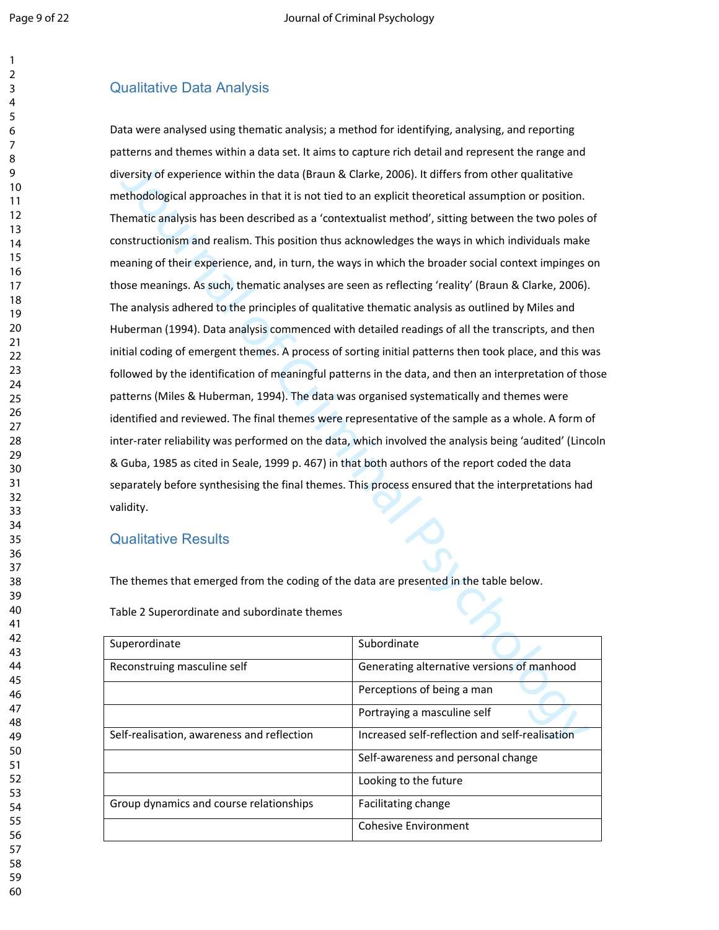## Qualitative Data Analysis

versity of experience within the data (Braun & Clarke, 2006). It differs from other qualitative<br>eithodological approaches in that it is not tied to an explicit theoretical assumption or position.<br>
Entrodological approaches Data were analysed using thematic analysis; a method for identifying, analysing, and reporting patterns and themes within a data set. It aims to capture rich detail and represent the range and diversity of experience within the data (Braun & Clarke, 2006). It differs from other qualitative methodological approaches in that it is not tied to an explicit theoretical assumption or position. Thematic analysis has been described as a 'contextualist method', sitting between the two poles of constructionism and realism. This position thus acknowledges the ways in which individuals make meaning of their experience, and, in turn, the ways in which the broader social context impinges on those meanings. As such, thematic analyses are seen as reflecting 'reality' (Braun & Clarke, 2006). The analysis adhered to the principles of qualitative thematic analysis as outlined by Miles and Huberman (1994). Data analysis commenced with detailed readings of all the transcripts, and then initial coding of emergent themes. A process of sorting initial patterns then took place, and this was followed by the identification of meaningful patterns in the data, and then an interpretation of those patterns (Miles & Huberman, 1994). The data was organised systematically and themes were identified and reviewed. The final themes were representative of the sample as a whole. A form of inter-rater reliability was performed on the data, which involved the analysis being 'audited' (Lincoln & Guba, 1985 as cited in Seale, 1999 p. 467) in that both authors of the report coded the data separately before synthesising the final themes. This process ensured that the interpretations had validity.

### Qualitative Results

The themes that emerged from the coding of the data are presented in the table below.

Table 2 Superordinate and subordinate themes

| Superordinate                              | Subordinate                                    |  |  |
|--------------------------------------------|------------------------------------------------|--|--|
| Reconstruing masculine self                | Generating alternative versions of manhood     |  |  |
|                                            | Perceptions of being a man                     |  |  |
|                                            | Portraying a masculine self                    |  |  |
| Self-realisation, awareness and reflection | Increased self-reflection and self-realisation |  |  |
|                                            | Self-awareness and personal change             |  |  |
|                                            | Looking to the future                          |  |  |
| Group dynamics and course relationships    | Facilitating change                            |  |  |
|                                            | <b>Cohesive Environment</b>                    |  |  |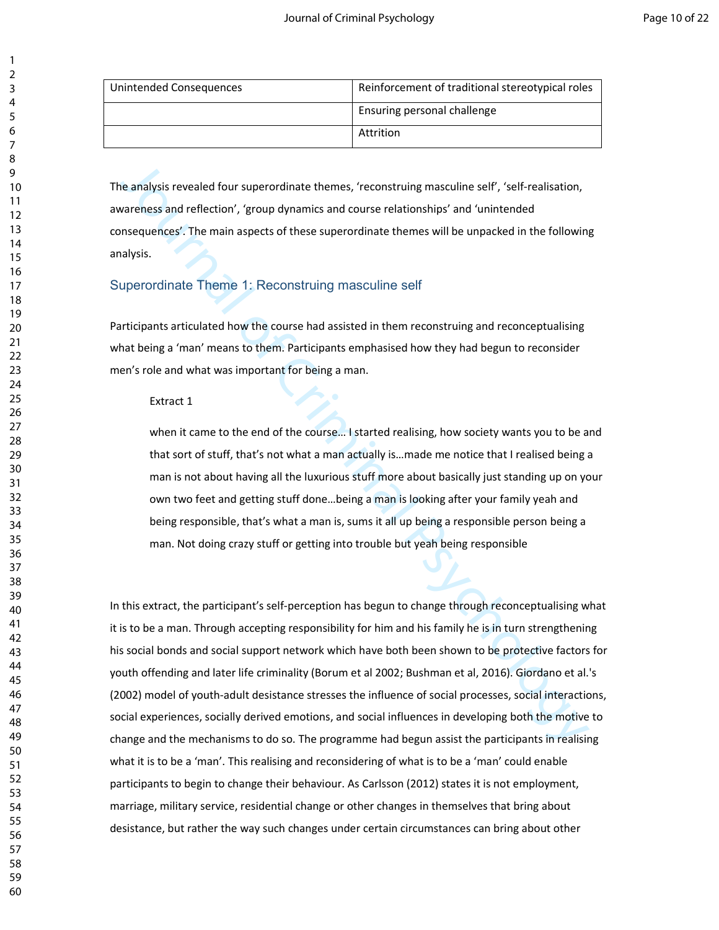| Unintended Consequences | Reinforcement of traditional stereotypical roles |  |
|-------------------------|--------------------------------------------------|--|
|                         | Ensuring personal challenge                      |  |
|                         | Attrition                                        |  |

The analysis revealed four superordinate themes, 'reconstruing masculine self', 'self-realisation, awareness and reflection', 'group dynamics and course relationships' and 'unintended consequences'. The main aspects of these superordinate themes will be unpacked in the following analysis.

## Superordinate Theme 1: Reconstruing masculine self

Participants articulated how the course had assisted in them reconstruing and reconceptualising what being a 'man' means to them. Participants emphasised how they had begun to reconsider men's role and what was important for being a man.

#### Extract 1

when it came to the end of the course… I started realising, how society wants you to be and that sort of stuff, that's not what a man actually is…made me notice that I realised being a man is not about having all the luxurious stuff more about basically just standing up on your own two feet and getting stuff done…being a man is looking after your family yeah and being responsible, that's what a man is, sums it all up being a responsible person being a man. Not doing crazy stuff or getting into trouble but yeah being responsible

is envaluation of the method of the promotion and the method of the sylth-realisation, the children and contact<br>and reflection", "group dynamics and course relationships" and "unintended<br>insequences". The main aspects of t In this extract, the participant's self-perception has begun to change through reconceptualising what it is to be a man. Through accepting responsibility for him and his family he is in turn strengthening his social bonds and social support network which have both been shown to be protective factors for youth offending and later life criminality (Borum et al 2002; Bushman et al, 2016). Giordano et al.'s (2002) model of youth-adult desistance stresses the influence of social processes, social interactions, social experiences, socially derived emotions, and social influences in developing both the motive to change and the mechanisms to do so. The programme had begun assist the participants in realising what it is to be a 'man'. This realising and reconsidering of what is to be a 'man' could enable participants to begin to change their behaviour. As Carlsson (2012) states it is not employment, marriage, military service, residential change or other changes in themselves that bring about desistance, but rather the way such changes under certain circumstances can bring about other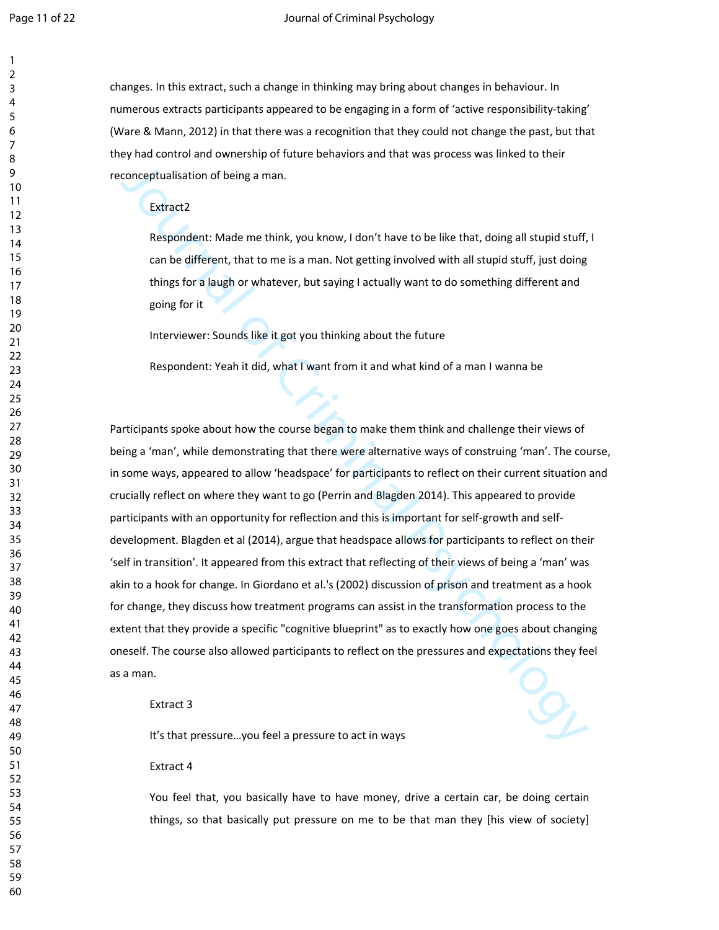#### Page 11 of 22 **Domain Properties and Psychology** Journal of Criminal Psychology

changes. In this extract, such a change in thinking may bring about changes in behaviour. In numerous extracts participants appeared to be engaging in a form of 'active responsibility-taking' (Ware & Mann, 2012) in that there was a recognition that they could not change the past, but that they had control and ownership of future behaviors and that was process was linked to their reconceptualisation of being a man.

#### Extract2

Respondent: Made me think, you know, I don't have to be like that, doing all stupid stuff, I can be different, that to me is a man. Not getting involved with all stupid stuff, just doing things for a laugh or whatever, but saying I actually want to do something different and going for it

Interviewer: Sounds like it got you thinking about the future

Respondent: Yeah it did, what I want from it and what kind of a man I wanna be

conceptualisation of being a man.<br>
Extract2<br>
Respondent: Made me think, you know, I don't have to be like that, doing all stupid stuff,<br>
can be different, that to me is a man. Not getting involved with all stupid stuff, ju Participants spoke about how the course began to make them think and challenge their views of being a 'man', while demonstrating that there were alternative ways of construing 'man'. The course, in some ways, appeared to allow 'headspace' for participants to reflect on their current situation and crucially reflect on where they want to go (Perrin and Blagden 2014). This appeared to provide participants with an opportunity for reflection and this is important for self-growth and selfdevelopment. Blagden et al (2014), argue that headspace allows for participants to reflect on their 'self in transition'. It appeared from this extract that reflecting of their views of being a 'man' was akin to a hook for change. In Giordano et al.'s (2002) discussion of prison and treatment as a hook for change, they discuss how treatment programs can assist in the transformation process to the extent that they provide a specific "cognitive blueprint" as to exactly how one goes about changing oneself. The course also allowed participants to reflect on the pressures and expectations they feel as a man.

#### Extract 3

It's that pressure…you feel a pressure to act in ways

#### Extract 4

You feel that, you basically have to have money, drive a certain car, be doing certain things, so that basically put pressure on me to be that man they [his view of society]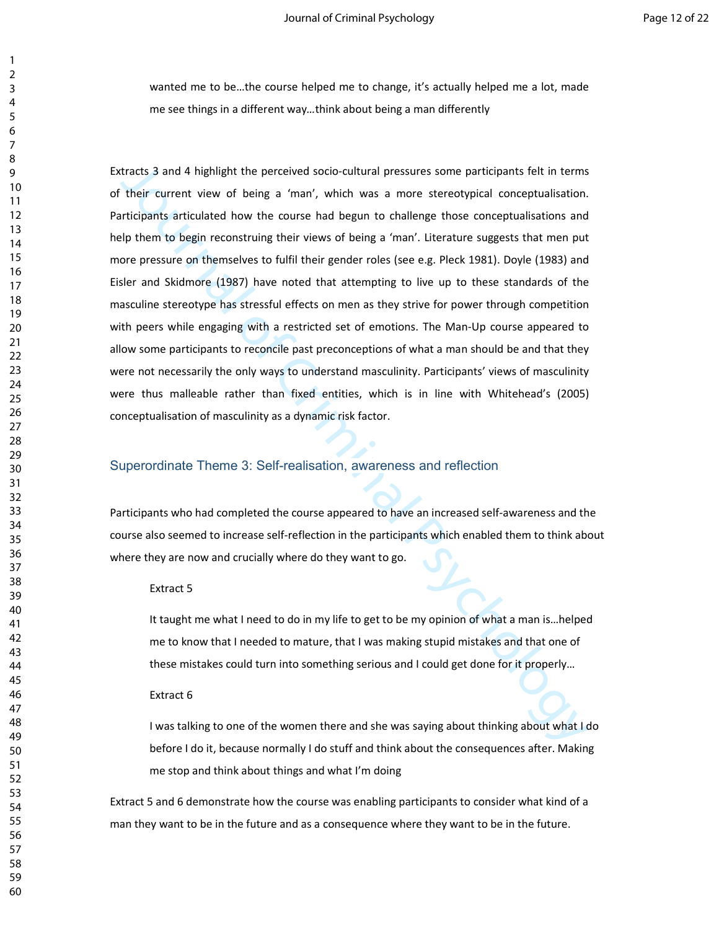wanted me to be…the course helped me to change, it's actually helped me a lot, made me see things in a different way*…*think about being a man differently

tracts 3 and 4 highlight the perceived socio-cultural pressures some participants felt in terms<br>
their current view of being a "man", which was a more stereotypical conceptualisation.<br>
Inferigrants aritudised how the cours Extracts 3 and 4 highlight the perceived socio-cultural pressures some participants felt in terms of their current view of being a 'man', which was a more stereotypical conceptualisation. Participants articulated how the course had begun to challenge those conceptualisations and help them to begin reconstruing their views of being a 'man'. Literature suggests that men put more pressure on themselves to fulfil their gender roles (see e.g. Pleck 1981). Doyle (1983) and Eisler and Skidmore (1987) have noted that attempting to live up to these standards of the masculine stereotype has stressful effects on men as they strive for power through competition with peers while engaging with a restricted set of emotions. The Man-Up course appeared to allow some participants to reconcile past preconceptions of what a man should be and that they were not necessarily the only ways to understand masculinity. Participants' views of masculinity were thus malleable rather than fixed entities, which is in line with Whitehead's (2005) conceptualisation of masculinity as a dynamic risk factor.

#### Superordinate Theme 3: Self-realisation, awareness and reflection

Participants who had completed the course appeared to have an increased self-awareness and the course also seemed to increase self-reflection in the participants which enabled them to think about where they are now and crucially where do they want to go.

#### Extract 5

It taught me what I need to do in my life to get to be my opinion of what a man is…helped me to know that I needed to mature, that I was making stupid mistakes and that one of these mistakes could turn into something serious and I could get done for it properly…

#### Extract 6

I was talking to one of the women there and she was saying about thinking about what I do before I do it, because normally I do stuff and think about the consequences after. Making me stop and think about things and what I'm doing

Extract 5 and 6 demonstrate how the course was enabling participants to consider what kind of a man they want to be in the future and as a consequence where they want to be in the future.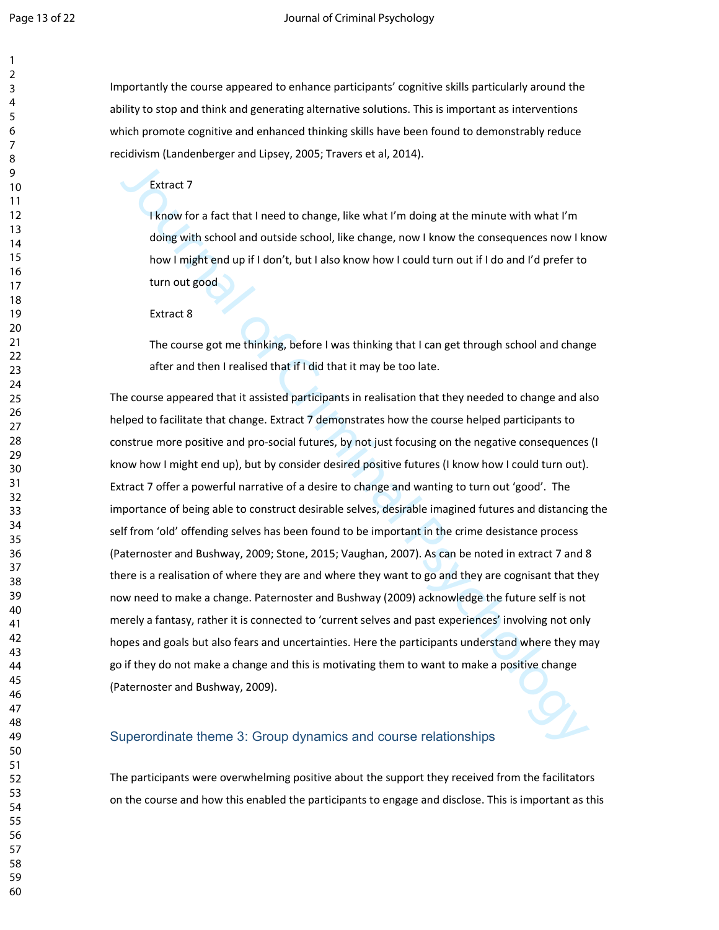#### Page 13 of 22 **Journal of Criminal Psychology**

Importantly the course appeared to enhance participants' cognitive skills particularly around the ability to stop and think and generating alternative solutions. This is important as interventions which promote cognitive and enhanced thinking skills have been found to demonstrably reduce recidivism (Landenberger and Lipsey, 2005; Travers et al, 2014).

#### Extract 7

I know for a fact that I need to change, like what I'm doing at the minute with what I'm doing with school and outside school, like change, now I know the consequences now I know how I might end up if I don't, but I also know how I could turn out if I do and I'd prefer to turn out good

#### Extract 8

The course got me thinking, before I was thinking that I can get through school and change after and then I realised that if I did that it may be too late.

Extract 7<br>
I know for a fact that I need to change, like what I'm doing at the minute with what I'm<br>
doing with school and outside school, like change, now I know the consequences now I k<br>
how i might end up if I don't, bu The course appeared that it assisted participants in realisation that they needed to change and also helped to facilitate that change. Extract 7 demonstrates how the course helped participants to construe more positive and pro-social futures, by not just focusing on the negative consequences (I know how I might end up), but by consider desired positive futures (I know how I could turn out). Extract 7 offer a powerful narrative of a desire to change and wanting to turn out 'good'. The importance of being able to construct desirable selves, desirable imagined futures and distancing the self from 'old' offending selves has been found to be important in the crime desistance process (Paternoster and Bushway, 2009; Stone, 2015; Vaughan, 2007). As can be noted in extract 7 and 8 there is a realisation of where they are and where they want to go and they are cognisant that they now need to make a change. Paternoster and Bushway (2009) acknowledge the future self is not merely a fantasy, rather it is connected to 'current selves and past experiences' involving not only hopes and goals but also fears and uncertainties. Here the participants understand where they may go if they do not make a change and this is motivating them to want to make a positive change (Paternoster and Bushway, 2009).

## Superordinate theme 3: Group dynamics and course relationships

The participants were overwhelming positive about the support they received from the facilitators on the course and how this enabled the participants to engage and disclose. This is important as this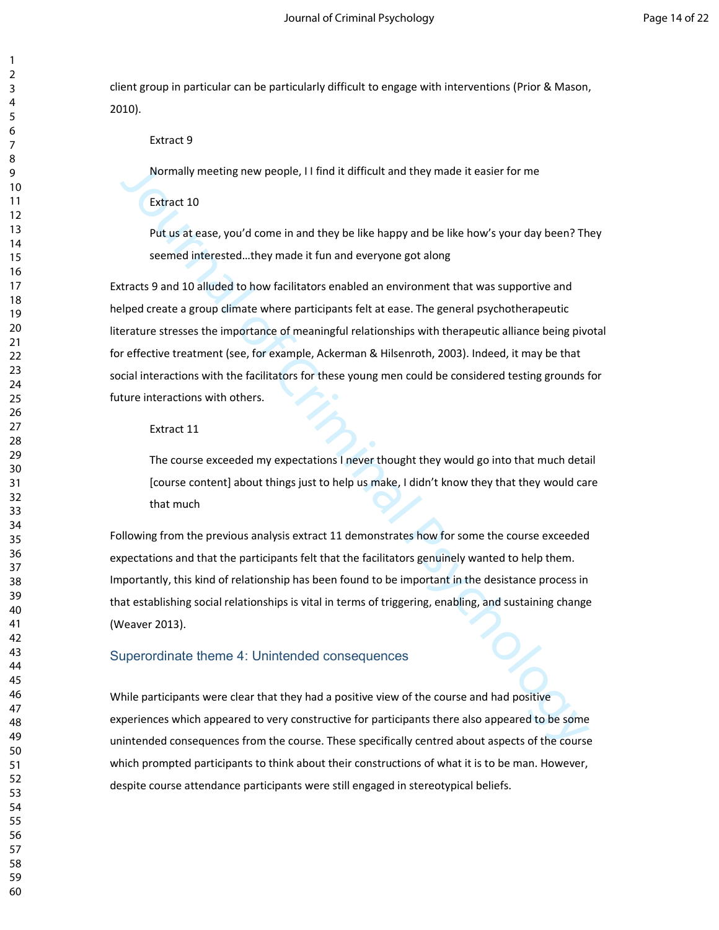client group in particular can be particularly difficult to engage with interventions (Prior & Mason, 2010).

#### Extract 9

Normally meeting new people, I I find it difficult and they made it easier for me

#### Extract 10

Put us at ease, you'd come in and they be like happy and be like how's your day been? They seemed interested…they made it fun and everyone got along

Normally meeting new people, I I find it difficult and they made it easier for me<br>Extract 10<br>
Put us at ease, you'd come in and they be like happy and be like how's your day been? Th<br>
seemed interested...they made it fun a Extracts 9 and 10 alluded to how facilitators enabled an environment that was supportive and helped create a group climate where participants felt at ease. The general psychotherapeutic literature stresses the importance of meaningful relationships with therapeutic alliance being pivotal for effective treatment (see, for example, Ackerman & Hilsenroth, 2003). Indeed, it may be that social interactions with the facilitators for these young men could be considered testing grounds for future interactions with others.

#### Extract 11

The course exceeded my expectations I never thought they would go into that much detail [course content] about things just to help us make, I didn't know they that they would care that much

Following from the previous analysis extract 11 demonstrates how for some the course exceeded expectations and that the participants felt that the facilitators genuinely wanted to help them. Importantly, this kind of relationship has been found to be important in the desistance process in that establishing social relationships is vital in terms of triggering, enabling, and sustaining change (Weaver 2013).

#### Superordinate theme 4: Unintended consequences

While participants were clear that they had a positive view of the course and had positive experiences which appeared to very constructive for participants there also appeared to be some unintended consequences from the course. These specifically centred about aspects of the course which prompted participants to think about their constructions of what it is to be man. However, despite course attendance participants were still engaged in stereotypical beliefs.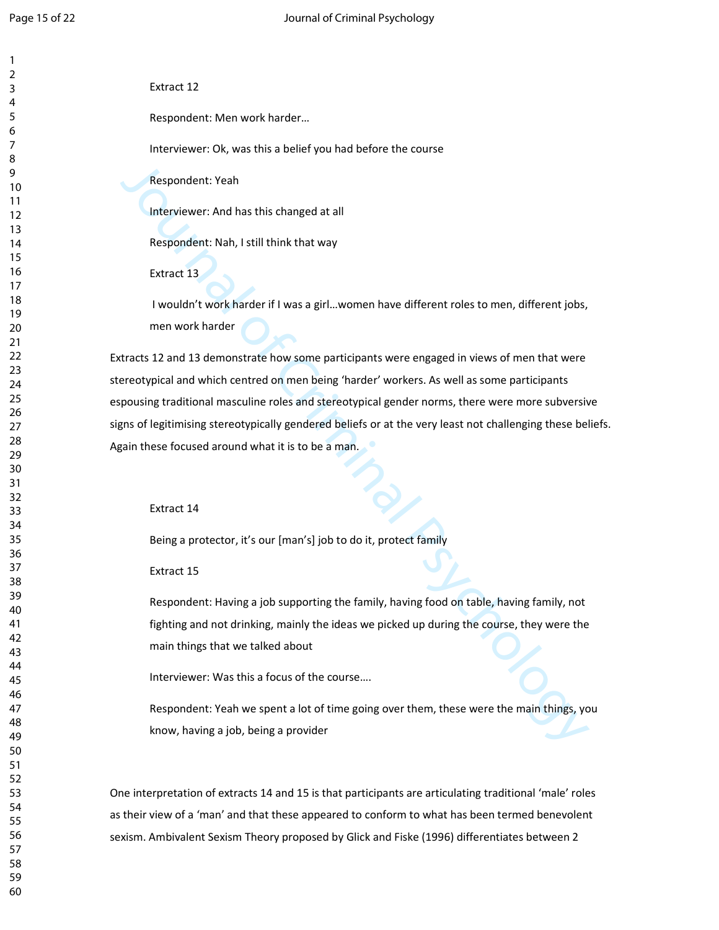| $\overline{\mathbf{c}}$ |              |
|-------------------------|--------------|
| 34567                   |              |
|                         |              |
| 8                       |              |
| 9<br>10                 |              |
| 11                      |              |
| 12<br>13                |              |
| $\overline{14}$         |              |
| 15<br>16                |              |
| 17                      |              |
| 18<br>19                |              |
| 20                      |              |
| 21                      |              |
| 22<br>23                | E,           |
| 24                      | si           |
| 25<br>26                | e            |
| 27                      | si           |
| 28<br>29                | A            |
| 30                      |              |
| 31<br>32                |              |
| 33                      |              |
| 34<br>35                |              |
| 36                      |              |
| 37<br>38                |              |
| 39                      |              |
| 40<br>41                |              |
| 42                      |              |
| 43<br>44                |              |
| 45                      |              |
| 46<br>47                |              |
| 48                      |              |
| 49<br>50                |              |
| 51                      |              |
| 52<br>53                | O            |
| 54                      | a            |
| 55<br>56                | $\mathsf{S}$ |
| 57                      |              |
| 58<br>59                |              |
|                         |              |

#### Extract 12

Respondent: Men work harder…

Interviewer: Ok, was this a belief you had before the course

Respondent: Yeah

Interviewer: And has this changed at all

Respondent: Nah, I still think that way

Extract 13

 I wouldn't work harder if I was a girl…women have different roles to men, different jobs, men work harder

Respondent: Yeah<br>
Interviewer: And has this changed at all<br>
Respondent: Nah, I still think that way<br>
Extract 13<br>
I wouldn't work harder if I was a girl...women have different roles to men, different jobs,<br>
men work harder<br> xtracts 12 and 13 demonstrate how some participants were engaged in views of men that were tereotypical and which centred on men being 'harder' workers. As well as some participants spousing traditional masculine roles and stereotypical gender norms, there were more subversive igns of legitimising stereotypically gendered beliefs or at the very least not challenging these beliefs. gain these focused around what it is to be a man.

#### Extract 14

Being a protector, it's our [man's] job to do it, protect family

Extract 15

Respondent: Having a job supporting the family, having food on table, having family, not fighting and not drinking, mainly the ideas we picked up during the course, they were the main things that we talked about

Interviewer: Was this a focus of the course….

Respondent: Yeah we spent a lot of time going over them, these were the main things, you know, having a job, being a provider

Ine interpretation of extracts 14 and 15 is that participants are articulating traditional 'male' roles s their view of a 'man' and that these appeared to conform to what has been termed benevolent exism. Ambivalent Sexism Theory proposed by Glick and Fiske (1996) differentiates between 2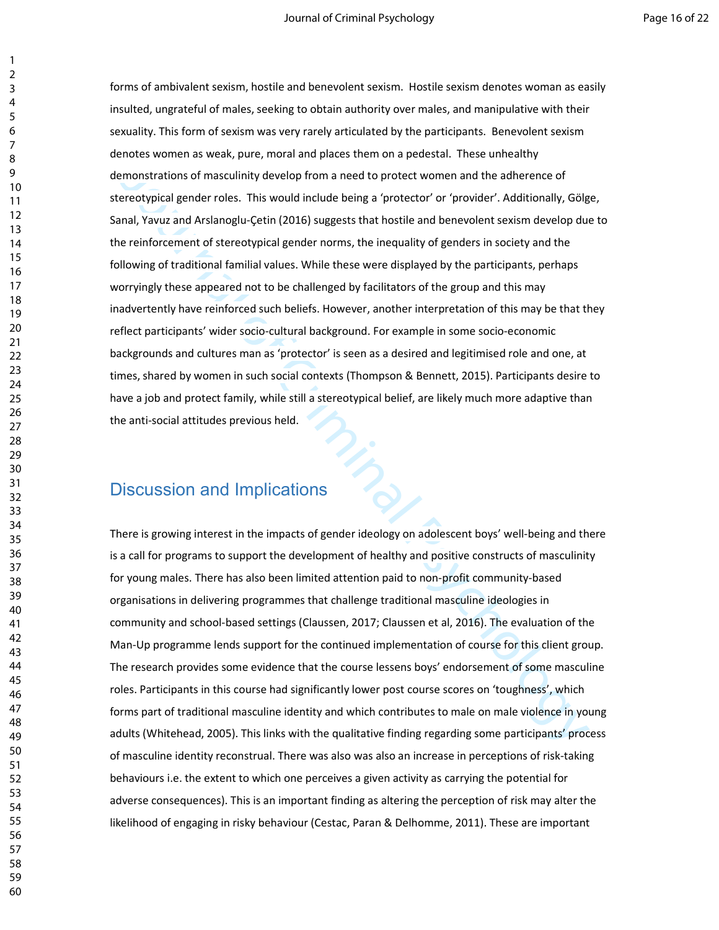emonstrations of masculinity develop from a need to protect women and the adherence of<br>ereotypical gender roles. This would include being a 'protector' or 'provider'. Additionally, Gölg<br>nal, Yavuz and Arslanglu-Çetin (2016 forms of ambivalent sexism, hostile and benevolent sexism. Hostile sexism denotes woman as easily insulted, ungrateful of males, seeking to obtain authority over males, and manipulative with their sexuality. This form of sexism was very rarely articulated by the participants. Benevolent sexism denotes women as weak, pure, moral and places them on a pedestal. These unhealthy demonstrations of masculinity develop from a need to protect women and the adherence of stereotypical gender roles. This would include being a 'protector' or 'provider'. Additionally, Gölge, Sanal, Yavuz and Arslanoglu-Çetin (2016) suggests that hostile and benevolent sexism develop due to the reinforcement of stereotypical gender norms, the inequality of genders in society and the following of traditional familial values. While these were displayed by the participants, perhaps worryingly these appeared not to be challenged by facilitators of the group and this may inadvertently have reinforced such beliefs. However, another interpretation of this may be that they reflect participants' wider socio-cultural background. For example in some socio-economic backgrounds and cultures man as 'protector' is seen as a desired and legitimised role and one, at times, shared by women in such social contexts (Thompson & Bennett, 2015). Participants desire to have a job and protect family, while still a stereotypical belief, are likely much more adaptive than the anti-social attitudes previous held.

# Discussion and Implications

There is growing interest in the impacts of gender ideology on adolescent boys' well-being and there is a call for programs to support the development of healthy and positive constructs of masculinity for young males. There has also been limited attention paid to non-profit community-based organisations in delivering programmes that challenge traditional masculine ideologies in community and school-based settings (Claussen, 2017; Claussen et al, 2016). The evaluation of the Man-Up programme lends support for the continued implementation of course for this client group. The research provides some evidence that the course lessens boys' endorsement of some masculine roles. Participants in this course had significantly lower post course scores on 'toughness', which forms part of traditional masculine identity and which contributes to male on male violence in young adults (Whitehead, 2005). This links with the qualitative finding regarding some participants' process of masculine identity reconstrual. There was also was also an increase in perceptions of risk-taking behaviours i.e. the extent to which one perceives a given activity as carrying the potential for adverse consequences). This is an important finding as altering the perception of risk may alter the likelihood of engaging in risky behaviour (Cestac, Paran & Delhomme, 2011). These are important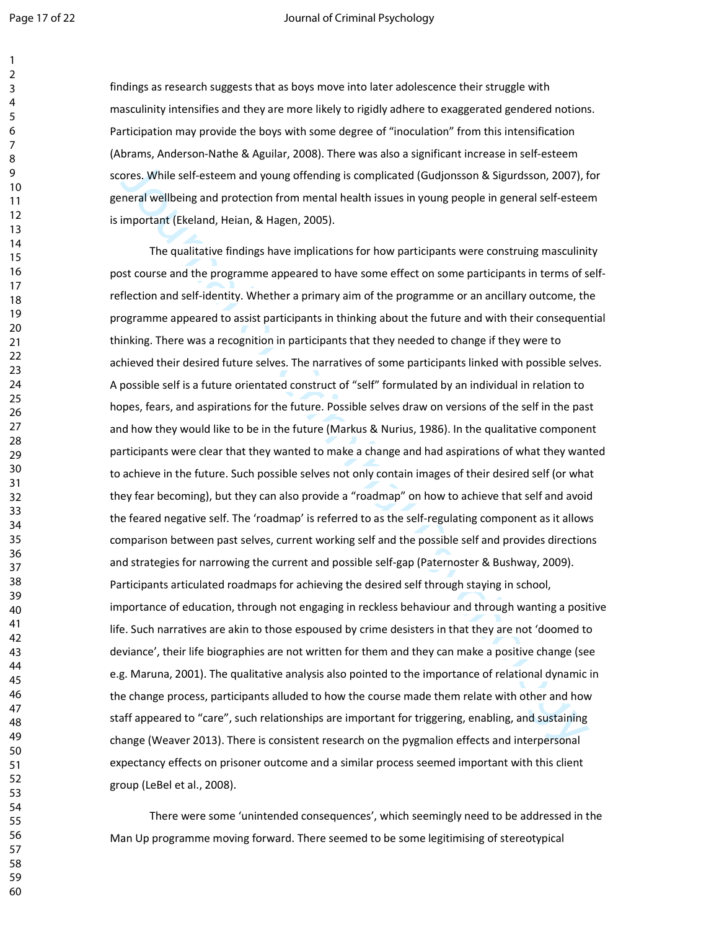#### Page 17 of 22 **Page 17** of 22 Journal of Criminal Psychology

findings as research suggests that as boys move into later adolescence their struggle with masculinity intensifies and they are more likely to rigidly adhere to exaggerated gendered notions. Participation may provide the boys with some degree of "inoculation" from this intensification (Abrams, Anderson-Nathe & Aguilar, 2008). There was also a significant increase in self-esteem scores. While self-esteem and young offending is complicated (Gudjonsson & Sigurdsson, 2007), for general wellbeing and protection from mental health issues in young people in general self-esteem is important (Ekeland, Heian, & Hagen, 2005).

ores. While self-esteem and young offending is complicated (Gudjonsson & Sigurdsson, 2007), then alwellbeing and protection from mental health issues in young people in general self-esteem<br>important (Ekeland, Heian, & Hage The qualitative findings have implications for how participants were construing masculinity post course and the programme appeared to have some effect on some participants in terms of selfreflection and self-identity. Whether a primary aim of the programme or an ancillary outcome, the programme appeared to assist participants in thinking about the future and with their consequential thinking. There was a recognition in participants that they needed to change if they were to achieved their desired future selves. The narratives of some participants linked with possible selves. A possible self is a future orientated construct of "self" formulated by an individual in relation to hopes, fears, and aspirations for the future. Possible selves draw on versions of the self in the past and how they would like to be in the future (Markus & Nurius, 1986). In the qualitative component participants were clear that they wanted to make a change and had aspirations of what they wanted to achieve in the future. Such possible selves not only contain images of their desired self (or what they fear becoming), but they can also provide a "roadmap" on how to achieve that self and avoid the feared negative self. The 'roadmap' is referred to as the self-regulating component as it allows comparison between past selves, current working self and the possible self and provides directions and strategies for narrowing the current and possible self-gap (Paternoster & Bushway, 2009). Participants articulated roadmaps for achieving the desired self through staying in school, importance of education, through not engaging in reckless behaviour and through wanting a positive life. Such narratives are akin to those espoused by crime desisters in that they are not 'doomed to deviance', their life biographies are not written for them and they can make a positive change (see e.g. Maruna, 2001). The qualitative analysis also pointed to the importance of relational dynamic in the change process, participants alluded to how the course made them relate with other and how staff appeared to "care", such relationships are important for triggering, enabling, and sustaining change (Weaver 2013). There is consistent research on the pygmalion effects and interpersonal expectancy effects on prisoner outcome and a similar process seemed important with this client group (LeBel et al., 2008).

There were some 'unintended consequences', which seemingly need to be addressed in the Man Up programme moving forward. There seemed to be some legitimising of stereotypical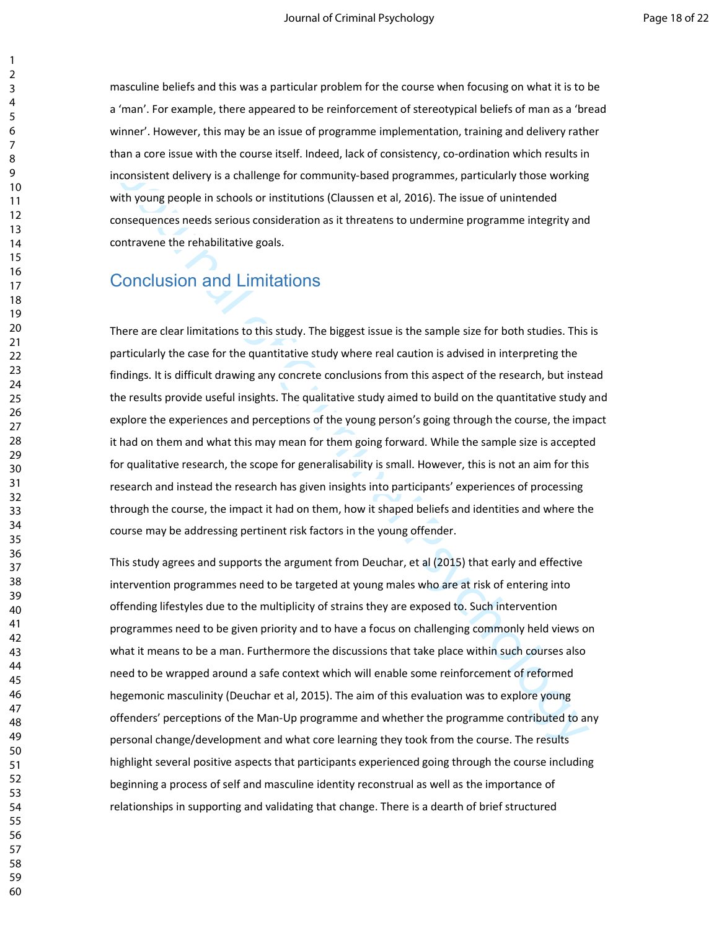masculine beliefs and this was a particular problem for the course when focusing on what it is to be a 'man'. For example, there appeared to be reinforcement of stereotypical beliefs of man as a 'bread winner'. However, this may be an issue of programme implementation, training and delivery rather than a core issue with the course itself. Indeed, lack of consistency, co-ordination which results in inconsistent delivery is a challenge for community-based programmes, particularly those working with young people in schools or institutions (Claussen et al, 2016). The issue of unintended consequences needs serious consideration as it threatens to undermine programme integrity and contravene the rehabilitative goals.

# Conclusion and Limitations

consistent delivery is a challenge for community-based programmes, particularly those working<br>th young people in schools or institutions (Claussen et al, 2016). The issue of unintended<br>onsequences needs serious considerati There are clear limitations to this study. The biggest issue is the sample size for both studies. This is particularly the case for the quantitative study where real caution is advised in interpreting the findings. It is difficult drawing any concrete conclusions from this aspect of the research, but instead the results provide useful insights. The qualitative study aimed to build on the quantitative study and explore the experiences and perceptions of the young person's going through the course, the impact it had on them and what this may mean for them going forward. While the sample size is accepted for qualitative research, the scope for generalisability is small. However, this is not an aim for this research and instead the research has given insights into participants' experiences of processing through the course, the impact it had on them, how it shaped beliefs and identities and where the course may be addressing pertinent risk factors in the young offender.

This study agrees and supports the argument from Deuchar, et al (2015) that early and effective intervention programmes need to be targeted at young males who are at risk of entering into offending lifestyles due to the multiplicity of strains they are exposed to. Such intervention programmes need to be given priority and to have a focus on challenging commonly held views on what it means to be a man. Furthermore the discussions that take place within such courses also need to be wrapped around a safe context which will enable some reinforcement of reformed hegemonic masculinity (Deuchar et al, 2015). The aim of this evaluation was to explore young offenders' perceptions of the Man-Up programme and whether the programme contributed to any personal change/development and what core learning they took from the course. The results highlight several positive aspects that participants experienced going through the course including beginning a process of self and masculine identity reconstrual as well as the importance of relationships in supporting and validating that change. There is a dearth of brief structured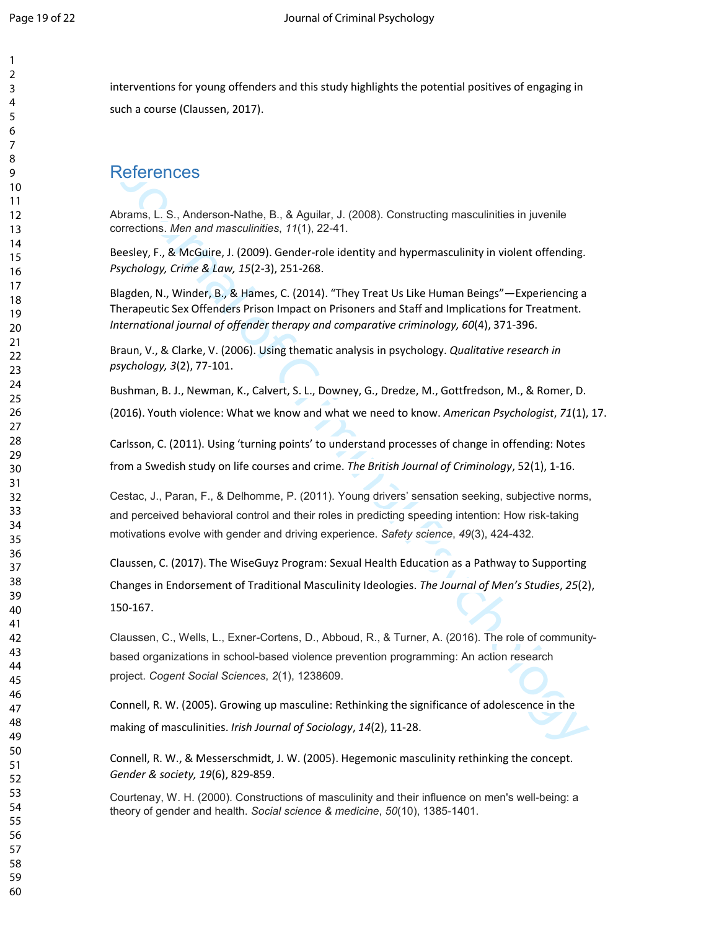interventions for young offenders and this study highlights the potential positives of engaging in such a course (Claussen, 2017).

# References

Abrams, L. S., Anderson-Nathe, B., & Aguilar, J. (2008). Constructing masculinities in juvenile corrections. *Men and masculinities*, *11*(1), 22-41.

Beesley, F., & McGuire, J. (2009). Gender-role identity and hypermasculinity in violent offending. *Psychology, Crime & Law, 15*(2-3), 251-268.

Blagden, N., Winder, B., & Hames, C. (2014). "They Treat Us Like Human Beings"—Experiencing a Therapeutic Sex Offenders Prison Impact on Prisoners and Staff and Implications for Treatment. *International journal of offender therapy and comparative criminology, 60*(4), 371-396.

Braun, V., & Clarke, V. (2006). Using thematic analysis in psychology. *Qualitative research in psychology, 3*(2), 77-101.

Bushman, B. J., Newman, K., Calvert, S. L., Downey, G., Dredze, M., Gottfredson, M., & Romer, D.

(2016). Youth violence: What we know and what we need to know. *American Psychologist*, *71*(1), 17.

Carlsson, C. (2011). Using 'turning points' to understand processes of change in offending: Notes from a Swedish study on life courses and crime. *The British Journal of Criminology*, 52(1), 1-16.

Cestac, J., Paran, F., & Delhomme, P. (2011). Young drivers' sensation seeking, subjective norms, and perceived behavioral control and their roles in predicting speeding intention: How risk-taking motivations evolve with gender and driving experience. *Safety science*, *49*(3), 424-432.

Ceferences<br>
Strame, L. S., Anderson-Nathe, B., & Aquilar, J. (2008). Constructing masculinities in juvenile<br>
precidons. Men and masculinities, 11(1), 22-41.<br>
Streductions. Men and masculinities, 11(1), 22-41.<br>
Streductions Claussen, C. (2017). The WiseGuyz Program: Sexual Health Education as a Pathway to Supporting Changes in Endorsement of Traditional Masculinity Ideologies. *The Journal of Men's Studies*, *25*(2), 150-167.

Claussen, C., Wells, L., Exner-Cortens, D., Abboud, R., & Turner, A. (2016). The role of communitybased organizations in school-based violence prevention programming: An action research project. *Cogent Social Sciences*, *2*(1), 1238609.

Connell, R. W. (2005). Growing up masculine: Rethinking the significance of adolescence in the making of masculinities. *Irish Journal of Sociology*, *14*(2), 11-28.

Connell, R. W., & Messerschmidt, J. W. (2005). Hegemonic masculinity rethinking the concept. *Gender & society, 19*(6), 829-859.

Courtenay, W. H. (2000). Constructions of masculinity and their influence on men's well-being: a theory of gender and health. *Social science & medicine*, *50*(10), 1385-1401.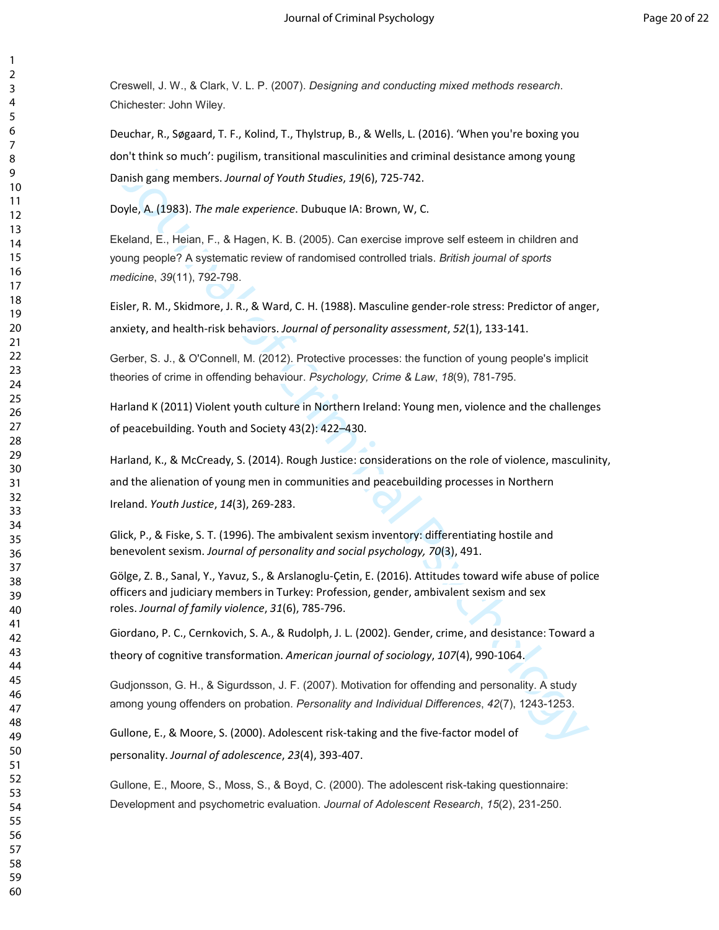Creswell, J. W., & Clark, V. L. P. (2007). *Designing and conducting mixed methods research*. Chichester: John Wiley.

Deuchar, R., Søgaard, T. F., Kolind, T., Thylstrup, B., & Wells, L. (2016). 'When you're boxing you don't think so much': pugilism, transitional masculinities and criminal desistance among young Danish gang members. *Journal of Youth Studies*, *19*(6), 725-742.

Doyle, A. (1983). *The male experience*. Dubuque IA: Brown, W, C.

Ekeland, E., Heian, F., & Hagen, K. B. (2005). Can exercise improve self esteem in children and young people? A systematic review of randomised controlled trials. *British journal of sports medicine*, *39*(11), 792-798.

Eisler, R. M., Skidmore, J. R., & Ward, C. H. (1988). Masculine gender-role stress: Predictor of anger, anxiety, and health-risk behaviors. *Journal of personality assessment*, *52*(1), 133-141.

Gerber, S. J., & O'Connell, M. (2012). Protective processes: the function of young people's implicit theories of crime in offending behaviour. *Psychology, Crime & Law*, *18*(9), 781-795.

Harland K (2011) Violent youth culture in Northern Ireland: Young men, violence and the challenges of peacebuilding. Youth and Society 43(2): 422–430.

sinsin game mentres. Journal of Votath Studies, 19(6), 725-742.<br>
We, A. (1983). The male experience. Dubuque IA: Brown, W, C.<br>
elsind, E., Heilan, F., & Hagen, K. B. (2005). Can exercise improve self esteem in children and Harland, K., & McCready, S. (2014). Rough Justice: considerations on the role of violence, masculinity, and the alienation of young men in communities and peacebuilding processes in Northern Ireland. *Youth Justice*, *14*(3), 269-283.

Glick, P., & Fiske, S. T. (1996). The ambivalent sexism inventory: differentiating hostile and benevolent sexism. *Journal of personality and social psychology, 70*(3), 491.

Gölge, Z. B., Sanal, Y., Yavuz, S., & Arslanoglu-Çetin, E. (2016). Attitudes toward wife abuse of police officers and judiciary members in Turkey: Profession, gender, ambivalent sexism and sex roles. *Journal of family violence*, *31*(6), 785-796.

Giordano, P. C., Cernkovich, S. A., & Rudolph, J. L. (2002). Gender, crime, and desistance: Toward a theory of cognitive transformation. *American journal of sociology*, *107*(4), 990-1064.

Gudjonsson, G. H., & Sigurdsson, J. F. (2007). Motivation for offending and personality. A study among young offenders on probation. *Personality and Individual Differences*, *42*(7), 1243-1253.

Gullone, E., & Moore, S. (2000). Adolescent risk-taking and the five-factor model of personality. *Journal of adolescence*, *23*(4), 393-407.

Gullone, E., Moore, S., Moss, S., & Boyd, C. (2000). The adolescent risk-taking questionnaire: Development and psychometric evaluation. *Journal of Adolescent Research*, *15*(2), 231-250.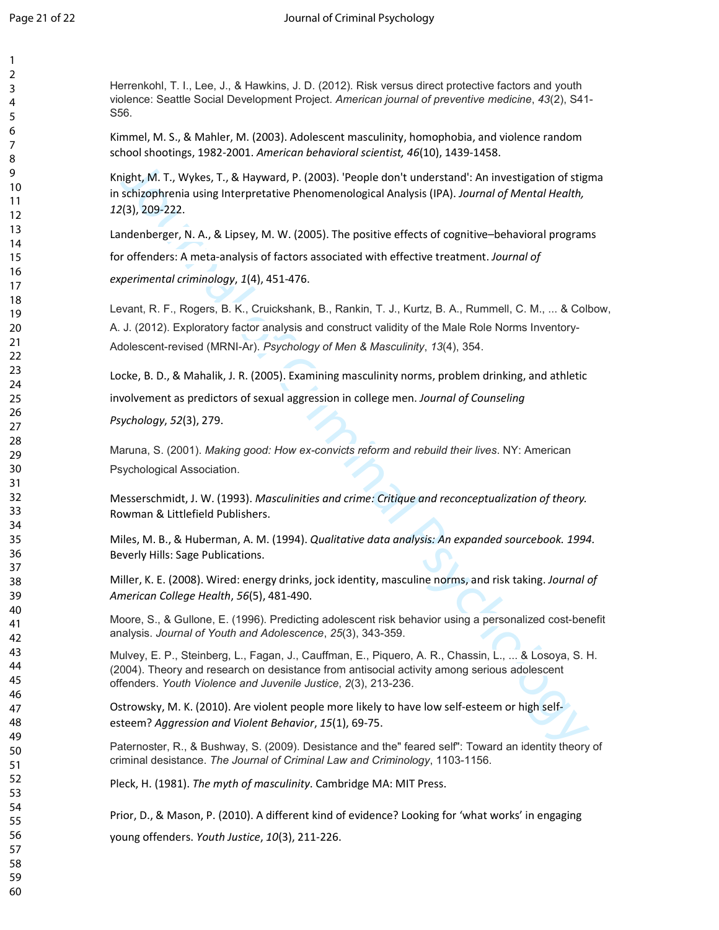S56.

(3), 209-222.

*Psychology*, *52*(3), 279.

Psychological Association.

Rowman & Littlefield Publishers.

Beverly Hills: Sage Publications.

*American College Health*, *56*(5), 481-490.

analysis. *Journal of Youth and Adolescence*, *25*(3), 343-359.

offenders. *Youth Violence and Juvenile Justice*, *2*(3), 213-236.

esteem? *Aggression and Violent Behavior*, *15*(1), 69-75.

young offenders. *Youth Justice*, *10*(3), 211-226.

*experimental criminology*, *1*(4), 451-476.

Herrenkohl, T. I., Lee, J., & Hawkins, J. D. (2012). Risk versus direct protective factors and youth violence: Seattle Social Development Project. *American journal of preventive medicine*, *43*(2), S41-

Kimmel, M. S., & Mahler, M. (2003). Adolescent masculinity, homophobia, and violence random

Knight, M. T., Wykes, T., & Hayward, P. (2003). 'People don't understand': An investigation of stigma in schizophrenia using Interpretative Phenomenological Analysis (IPA). *Journal of Mental Health,* 

Landenberger, N. A., & Lipsey, M. W. (2005). The positive effects of cognitive–behavioral programs

Levant, R. F., Rogers, B. K., Cruickshank, B., Rankin, T. J., Kurtz, B. A., Rummell, C. M., ... & Colbow,

A. J. (2012). Exploratory factor analysis and construct validity of the Male Role Norms Inventory-

Locke, B. D., & Mahalik, J. R. (2005). Examining masculinity norms, problem drinking, and athletic

for offenders: A meta-analysis of factors associated with effective treatment. *Journal of* 

school shootings, 1982-2001. *American behavioral scientist, 46*(10), 1439-1458.

Adolescent-revised (MRNI-Ar). *Psychology of Men & Masculinity*, *13*(4), 354.

involvement as predictors of sexual aggression in college men. *Journal of Counseling* 

night, M. T., Wykes, T., & Hayward, P. (2003). 'People don't understand': An investigation of stigs:<br>
Schlophrenia using interpretative Phenomenological Analysis (IPA). Journal of Mental Health,<br>
Ich), DOS-222.<br>
Indenberge

Messerschmidt, J. W. (1993). *Masculinities and crime: Critique and reconceptualization of theory.*

Miles, M. B., & Huberman, A. M. (1994). *Qualitative data analysis: An expanded sourcebook. 1994.*

Miller, K. E. (2008). Wired: energy drinks, jock identity, masculine norms, and risk taking. *Journal of* 

Moore, S., & Gullone, E. (1996). Predicting adolescent risk behavior using a personalized cost-benefit

Mulvey, E. P., Steinberg, L., Fagan, J., Cauffman, E., Piquero, A. R., Chassin, L., ... & Losoya, S. H. (2004). Theory and research on desistance from antisocial activity among serious adolescent

Paternoster, R., & Bushway, S. (2009). Desistance and the" feared self": Toward an identity theory of

Prior, D., & Mason, P. (2010). A different kind of evidence? Looking for 'what works' in engaging

Ostrowsky, M. K. (2010). Are violent people more likely to have low self-esteem or high self-

criminal desistance. *The Journal of Criminal Law and Criminology*, 1103-1156.

Pleck, H. (1981). *The myth of masculinity*. Cambridge MA: MIT Press.

Maruna, S. (2001). *Making good: How ex-convicts reform and rebuild their lives*. NY: American

| 32<br>33<br>34<br>35<br>36<br>37<br>38<br>39<br>40<br>41<br>42<br>43<br>44<br>45<br>46<br>47 | 1<br>$\frac{2}{3}$<br>4<br>5<br>6<br>7<br>8<br>9<br>10<br>11<br>12<br>13<br>$\overline{14}$<br>15<br>16<br>17<br>18<br>19<br>20<br>$\overline{21}$<br>22<br>23<br>24<br>25<br>26<br>27<br>28<br>29<br>30<br>31 |  |  |
|----------------------------------------------------------------------------------------------|----------------------------------------------------------------------------------------------------------------------------------------------------------------------------------------------------------------|--|--|
|                                                                                              | 48                                                                                                                                                                                                             |  |  |